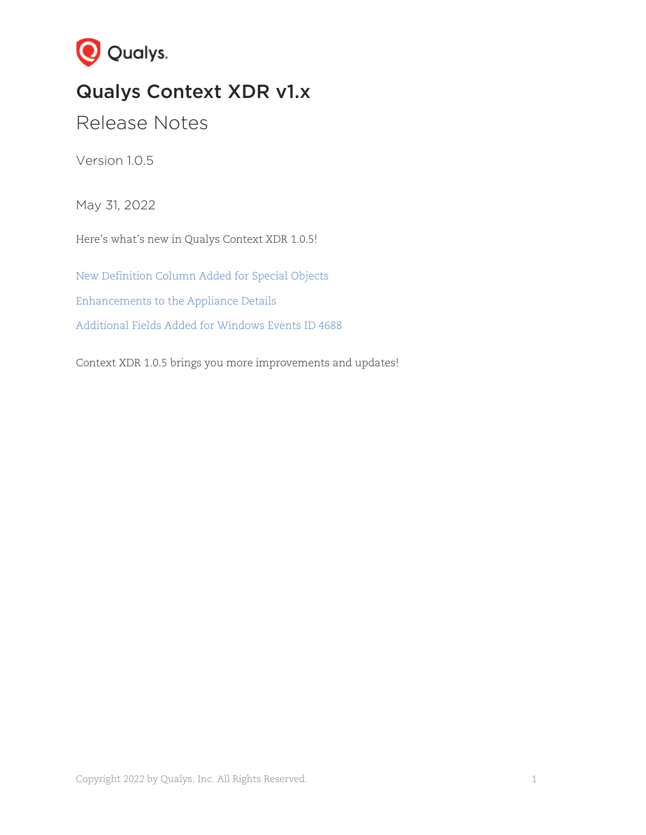

# Qualys Context XDR v1.x

Release Notes

Version 1.0.5

May 31, 2022

Here's what's new in Qualys Context XDR 1.0.5!

New [Definition Column Added for Special Objects](#page-1-0) [Enhancements to the](#page-2-0) Appliance Details [Additional Fields Added for Windows Events](#page-4-0) ID 4688

Context XDR 1.0.5 brings you more improvements and updates!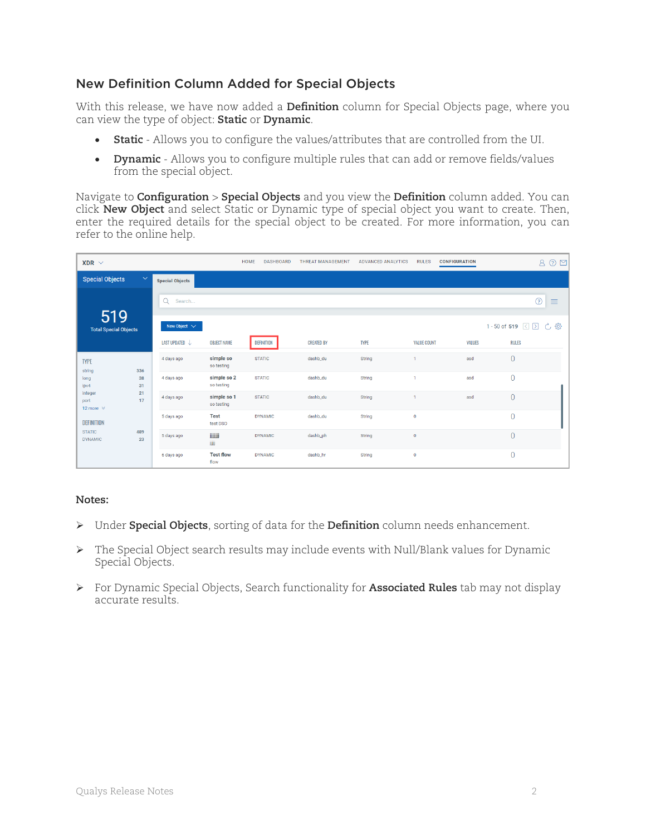## <span id="page-1-0"></span>[New Definition](#page-1-1) Column Added for Special Objects

With this release, we have now added a **Definition** column for Special Objects page, where you can view the type of object: **Static** or **Dynamic**.

- **Static** Allows you to configure the values/attributes that are controlled from the UI.
- **Dynamic** Allows you to configure multiple rules that can add or remove fields/values from the special object.

Navigate to **Configuration** > **Special Objects** and you view the **Definition** column added. You can click **New Object** and select Static or Dynamic type of special object you want to create. Then, enter the required details for the special object to be created. For more information, you can refer to the online help.

| $XDR \sim$                               |              |                           |                           | <b>HOME</b><br><b>DASHBOARD</b> | <b>THREAT MANAGEMENT</b> | <b>ADVANCED ANALYTICS</b> | <b>RULES</b>       | <b>CONFIGURATION</b> | $\odot$ $\boxtimes$<br>$\mathsf{A}$ |  |
|------------------------------------------|--------------|---------------------------|---------------------------|---------------------------------|--------------------------|---------------------------|--------------------|----------------------|-------------------------------------|--|
| <b>Special Objects</b>                   | $\checkmark$ | <b>Special Objects</b>    |                           |                                 |                          |                           |                    |                      |                                     |  |
|                                          |              | Q<br>Search               |                           |                                 |                          |                           |                    |                      | ⊚<br>≡                              |  |
| 519<br><b>Total Special Objects</b>      |              | New Object $\sqrt{}$      |                           |                                 |                          |                           |                    |                      | 1 - 50 of 519 3 2 7 (3)             |  |
|                                          |              | LAST UPDATED $\downarrow$ | <b>OBJECT NAME</b>        | <b>DEFINITION</b>               | <b>CREATED BY</b>        | <b>TYPE</b>               | <b>VALUE COUNT</b> | <b>VALUES</b>        | <b>RULES</b>                        |  |
| <b>TYPE</b><br>string                    | 336          | 4 days ago                | simple so<br>so testing   | <b>STATIC</b>                   | dashb_du                 | String                    | 1                  | asd                  | $\overline{0}$                      |  |
| long<br>ipv4                             | 38<br>31     | 4 days ago                | simple so 2<br>so testing | <b>STATIC</b>                   | dashb_du                 | String                    | 1                  | asd                  | $\theta$                            |  |
| integer<br>port<br>12 more $\mathcal{D}$ | 21<br>17     | 4 days ago                | simple so 1<br>so testing | <b>STATIC</b>                   | dashb_du                 | String                    |                    | asd                  | $\overline{0}$                      |  |
| <b>DEFINITION</b>                        |              | 5 days ago                | <b>Test</b><br>test DSO   | <b>DYNAMIC</b>                  | dashb_du                 | String                    | $\bf{0}$           |                      | $\overline{0}$                      |  |
| <b>STATIC</b><br><b>DYNAMIC</b>          | 489<br>23    | 5 days ago                | iiiiiii<br>jijiji         | <b>DYNAMIC</b>                  | dashb_ph                 | <b>String</b>             | $\mathbf 0$        |                      | $\overline{0}$                      |  |
|                                          |              | 6 days ago                | <b>Test flow</b><br>flow  | <b>DYNAMIC</b>                  | dashb_hr                 | String                    | $\mathbf 0$        |                      | $\theta$                            |  |

#### <span id="page-1-1"></span>**Notes:**

- Under **Special Objects**, sorting of data for the **Definition** column needs enhancement.
- The Special Object search results may include events with Null/Blank values for Dynamic Special Objects.
- For Dynamic Special Objects, Search functionality for **Associated Rules** tab may not display accurate results.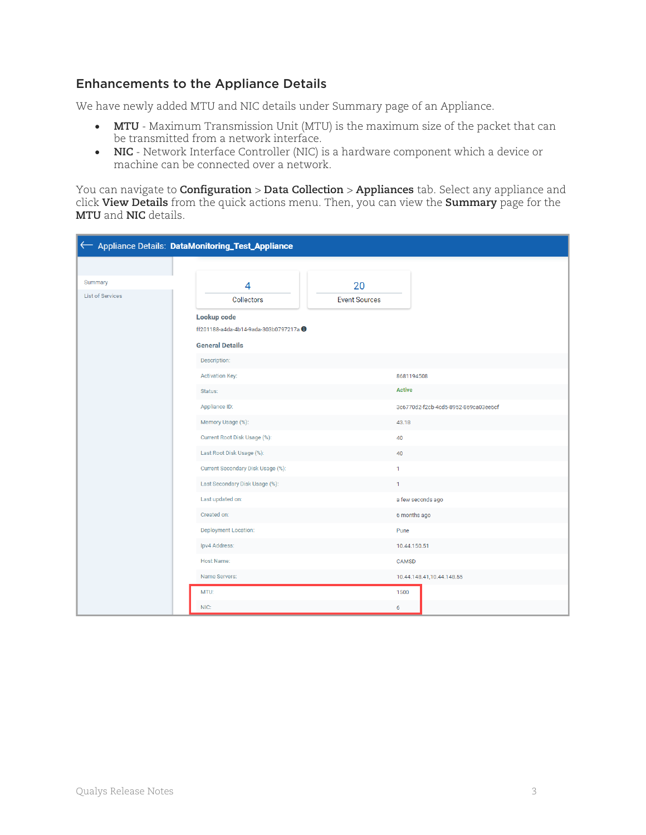# <span id="page-2-0"></span>Enhancements to the Appliance Details

We have newly added MTU and NIC details under Summary page of an Appliance.

- **MTU** Maximum Transmission Unit (MTU) is the maximum size of the packet that can be transmitted from a network interface.
- **NIC** Network Interface Controller (NIC) is a hardware component which a device or machine can be connected over a network.

You can navigate to **Configuration** > **Data Collection** > **Appliances** tab. Select any appliance and click **View Details** from the quick actions menu. Then, you can view the **Summary** page for the **MTU** and **NIC** details.

|                         | < Appliance Details: DataMonitoring_Test_Appliance |                      |                                      |
|-------------------------|----------------------------------------------------|----------------------|--------------------------------------|
|                         |                                                    |                      |                                      |
| Summary                 | 4                                                  | 20                   |                                      |
| <b>List of Services</b> | <b>Collectors</b>                                  | <b>Event Sources</b> |                                      |
|                         | Lookup code                                        |                      |                                      |
|                         | ff201188-a4da-4b14-9ada-303b0797217a 0             |                      |                                      |
|                         | <b>General Details</b>                             |                      |                                      |
|                         | Description:                                       |                      |                                      |
|                         | <b>Activation Key:</b>                             |                      | 8681194508                           |
|                         | Status:                                            | <b>Active</b>        |                                      |
|                         | Appliance ID:                                      |                      | 3c6770d2-f2cb-4cd5-8952-869ca03ee6cf |
|                         | Memory Usage (%):                                  | 43.18                |                                      |
|                         | Current Root Disk Usage (%):                       | 40                   |                                      |
|                         | Last Root Disk Usage (%):                          | 40                   |                                      |
|                         | Current Secondary Disk Usage (%):                  | 1                    |                                      |
|                         | Last Secondary Disk Usage (%):                     | $\mathbf{1}$         |                                      |
|                         | Last updated on:                                   |                      | a few seconds ago                    |
|                         | Created on:                                        |                      | 6 months ago                         |
|                         | Deployment Location:                               | Pune                 |                                      |
|                         | Ipv4 Address:                                      |                      | 10.44.150.51                         |
|                         | Host Name:                                         |                      | CAMSD                                |
|                         | Name Servers:                                      |                      | 10.44.148.41,10.44.148.55            |
|                         | MTU:                                               | 1500                 |                                      |
|                         | NIC:                                               | $6\phantom{a}$       |                                      |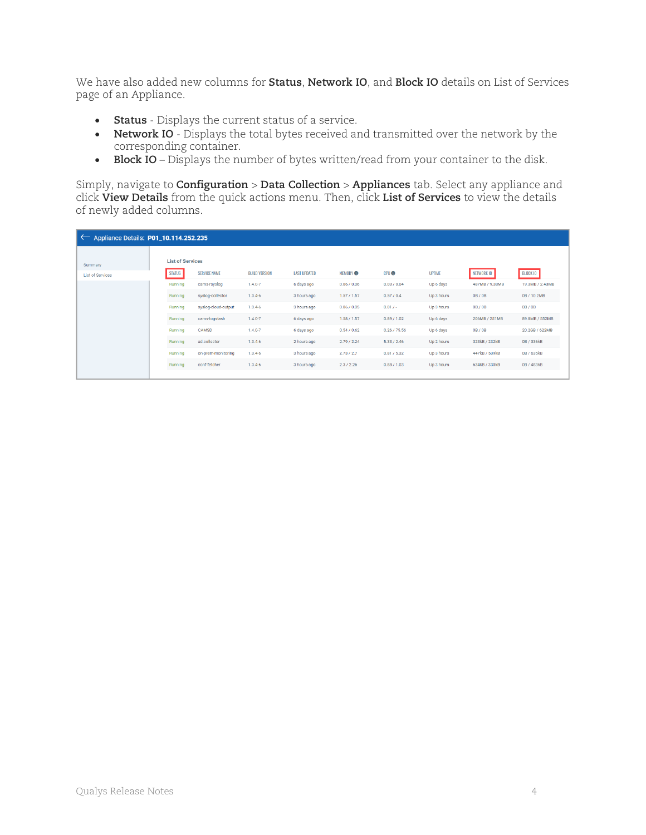We have also added new columns for **Status**, **Network IO**, and **Block IO** details on List of Services page of an Appliance.

- **Status** Displays the current status of a service.
- **Network IO** Displays the total bytes received and transmitted over the network by the corresponding container.
- **Block IO** Displays the number of bytes written/read from your container to the disk.

Simply, navigate to **Configuration** > **Data Collection** > **Appliances** tab. Select any appliance and click **View Details** from the quick actions menu. Then, click **List of Services** to view the details of newly added columns.

| $\sim$ Appliance Details: P01_10.114.252.235 |                         |                     |                      |                     |               |              |               |                |                 |
|----------------------------------------------|-------------------------|---------------------|----------------------|---------------------|---------------|--------------|---------------|----------------|-----------------|
| Summary                                      | <b>List of Services</b> |                     |                      |                     |               |              |               |                |                 |
| <b>List of Services</b>                      | <b>STATUS</b>           | <b>SERVICE NAME</b> | <b>BUILD VERSION</b> | <b>LAST UPDATED</b> | <b>MEMORY</b> | <b>CPUO</b>  | <b>UPTIME</b> | NETWORK IO     | <b>BLOCK IO</b> |
|                                              | Running                 | cams-rsyslog        | $1.4.0 - 7$          | 6 days ago          | 0.06 / 0.06   | 0.03 / 0.04  | Up 6 days     | 487MB / 9.38MB | 19.3MB / 2.43MB |
|                                              | Running                 | syslog-collector    | $1.3.4 - 6$          | 3 hours ago         | 1.57/1.57     | 0.57/0.4     | Up 3 hours    | OB / OB        | 0B / 10.2MB     |
|                                              | Running                 | syslog-cloud-output | $1.3.4 - 6$          | 3 hours ago         | 0.06 / 0.05   | $0.01 / -$   | Up 3 hours    | OB / OB        | 0B / 0B         |
|                                              | Running                 | cams-logstash       | $1.4.0 - 7$          | 6 days ago          | 1.58 / 1.57   | 0.89 / 1.02  | Up 6 days     | 206MB / 251MB  | 89.8MB / 552MB  |
|                                              | Running                 | CAMSD               | $1.4.0 - 7$          | 6 days ago          | 0.54 / 0.62   | 0.26 / 75.56 | Up 6 days     | 0B/0B          | 20.2GB / 622MB  |
|                                              | Running                 | ad-collector        | $1.3.4 - 6$          | 2 hours ago         | 2.79 / 2.24   | 5.33 / 2.46  | Up 2 hours    | 323kB / 232kB  | 0B / 336kB      |
|                                              | Running                 | on-prem-monitoring  | $1.3.4 - 6$          | 3 hours ago         | 2.73 / 2.7    | 0.81 / 5.32  | Up 3 hours    | 447kB / 539kB  | 0B / 635kB      |
|                                              | Running                 | conf-fetcher        | $1.3.4 - 6$          | 3 hours ago         | 2.3 / 2.26    | 0.88 / 1.03  | Up 3 hours    | 634kB / 330kB  | 0B / 483kB      |
|                                              |                         |                     |                      |                     |               |              |               |                |                 |